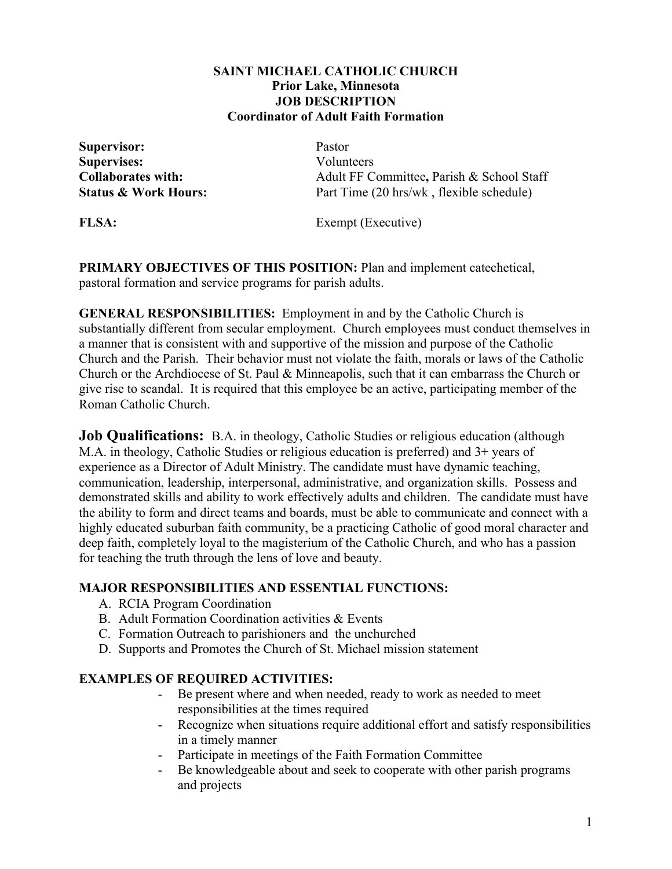## **SAINT MICHAEL CATHOLIC CHURCH Prior Lake, Minnesota JOB DESCRIPTION Coordinator of Adult Faith Formation**

**Supervisor:** Pastor **Supervises:** Volunteers

**Collaborates with:** Adult FF Committee**,** Parish & School Staff **Status & Work Hours:** Part Time (20 hrs/wk, flexible schedule)

**FLSA:** Exempt (Executive)

**PRIMARY OBJECTIVES OF THIS POSITION:** Plan and implement catechetical, pastoral formation and service programs for parish adults.

**GENERAL RESPONSIBILITIES:** Employment in and by the Catholic Church is substantially different from secular employment. Church employees must conduct themselves in a manner that is consistent with and supportive of the mission and purpose of the Catholic Church and the Parish. Their behavior must not violate the faith, morals or laws of the Catholic Church or the Archdiocese of St. Paul & Minneapolis, such that it can embarrass the Church or give rise to scandal. It is required that this employee be an active, participating member of the Roman Catholic Church.

**Job Qualifications:** B.A. in theology, Catholic Studies or religious education (although M.A. in theology, Catholic Studies or religious education is preferred) and 3+ years of experience as a Director of Adult Ministry. The candidate must have dynamic teaching, communication, leadership, interpersonal, administrative, and organization skills. Possess and demonstrated skills and ability to work effectively adults and children. The candidate must have the ability to form and direct teams and boards, must be able to communicate and connect with a highly educated suburban faith community, be a practicing Catholic of good moral character and deep faith, completely loyal to the magisterium of the Catholic Church, and who has a passion for teaching the truth through the lens of love and beauty.

## **MAJOR RESPONSIBILITIES AND ESSENTIAL FUNCTIONS:**

- A. RCIA Program Coordination
- B. Adult Formation Coordination activities & Events
- C. Formation Outreach to parishioners and the unchurched
- D. Supports and Promotes the Church of St. Michael mission statement

## **EXAMPLES OF REQUIRED ACTIVITIES:**

- Be present where and when needed, ready to work as needed to meet responsibilities at the times required
- Recognize when situations require additional effort and satisfy responsibilities in a timely manner
- Participate in meetings of the Faith Formation Committee
- Be knowledgeable about and seek to cooperate with other parish programs and projects